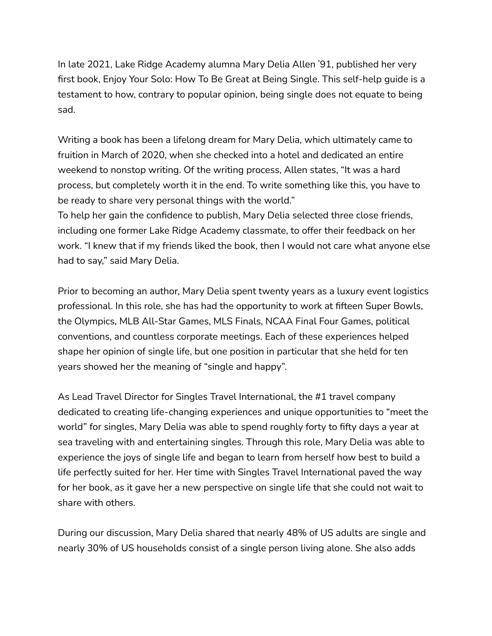In late 2021, Lake Ridge Academy alumna Mary Delia Allen ՚91, published her very first book, Enjoy Your Solo: How To Be Great at Being Single. This self-help guide is a testament to how, contrary to popular opinion, being single does not equate to being sad.

Writing a book has been a lifelong dream for Mary Delia, which ultimately came to fruition in March of 2020, when she checked into a hotel and dedicated an entire weekend to nonstop writing. Of the writing process, Allen states, "It was a hard process, but completely worth it in the end. To write something like this, you have to be ready to share very personal things with the world."

To help her gain the confidence to publish, Mary Delia selected three close friends, including one former Lake Ridge Academy classmate, to offer their feedback on her work. "I knew that if my friends liked the book, then I would not care what anyone else had to say," said Mary Delia.

Prior to becoming an author, Mary Delia spent twenty years as a luxury event logistics professional. In this role, she has had the opportunity to work at fifteen Super Bowls, the Olympics, MLB All-Star Games, MLS Finals, NCAA Final Four Games, political conventions, and countless corporate meetings. Each of these experiences helped shape her opinion of single life, but one position in particular that she held for ten years showed her the meaning of "single and happy".

As Lead Travel Director for Singles Travel International, the #1 travel company dedicated to creating life-changing experiences and unique opportunities to "meet the world" for singles, Mary Delia was able to spend roughly forty to fifty days a year at sea traveling with and entertaining singles. Through this role, Mary Delia was able to experience the joys of single life and began to learn from herself how best to build a life perfectly suited for her. Her time with Singles Travel International paved the way for her book, as it gave her a new perspective on single life that she could not wait to share with others.

During our discussion, Mary Delia shared that nearly 48% of US adults are single and nearly 30% of US households consist of a single person living alone. She also adds